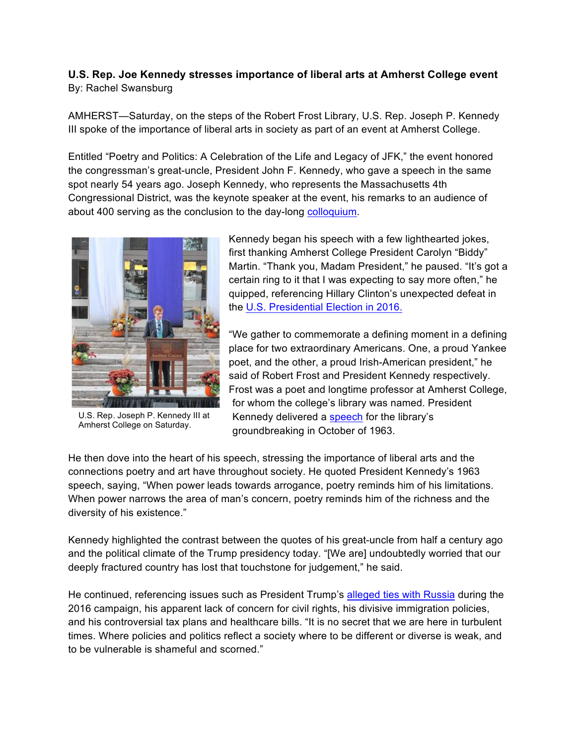## **U.S. Rep. Joe Kennedy stresses importance of liberal arts at Amherst College event** By: Rachel Swansburg

AMHERST—Saturday, on the steps of the Robert Frost Library, U.S. Rep. Joseph P. Kennedy III spoke of the importance of liberal arts in society as part of an event at Amherst College.

Entitled "Poetry and Politics: A Celebration of the Life and Legacy of JFK," the event honored the congressman's great-uncle, President John F. Kennedy, who gave a speech in the same spot nearly 54 years ago. Joseph Kennedy, who represents the Massachusetts 4th Congressional District, was the keynote speaker at the event, his remarks to an audience of about 400 serving as the conclusion to the day-long colloquium.



U.S. Rep. Joseph P. Kennedy III at Amherst College on Saturday.

Kennedy began his speech with a few lighthearted jokes, first thanking Amherst College President Carolyn "Biddy" Martin. "Thank you, Madam President," he paused. "It's got a certain ring to it that I was expecting to say more often," he quipped, referencing Hillary Clinton's unexpected defeat in the U.S. Presidential Election in 2016.

"We gather to commemorate a defining moment in a defining place for two extraordinary Americans. One, a proud Yankee poet, and the other, a proud Irish-American president," he said of Robert Frost and President Kennedy respectively. Frost was a poet and longtime professor at Amherst College, for whom the college's library was named. President Kennedy delivered a speech for the library's groundbreaking in October of 1963.

He then dove into the heart of his speech, stressing the importance of liberal arts and the connections poetry and art have throughout society. He quoted President Kennedy's 1963 speech, saying, "When power leads towards arrogance, poetry reminds him of his limitations. When power narrows the area of man's concern, poetry reminds him of the richness and the diversity of his existence."

Kennedy highlighted the contrast between the quotes of his great-uncle from half a century ago and the political climate of the Trump presidency today. "[We are] undoubtedly worried that our deeply fractured country has lost that touchstone for judgement," he said.

He continued, referencing issues such as President Trump's alleged ties with Russia during the 2016 campaign, his apparent lack of concern for civil rights, his divisive immigration policies, and his controversial tax plans and healthcare bills. "It is no secret that we are here in turbulent times. Where policies and politics reflect a society where to be different or diverse is weak, and to be vulnerable is shameful and scorned."